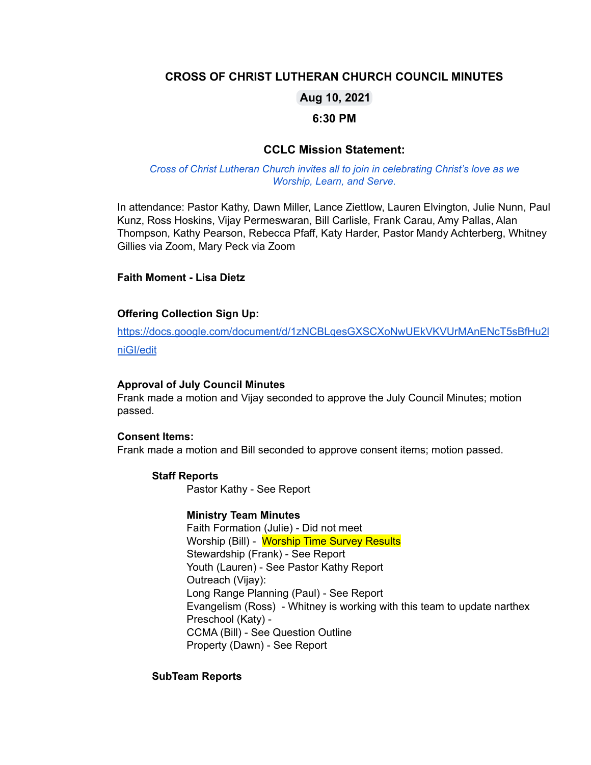# **CROSS OF CHRIST LUTHERAN CHURCH COUNCIL MINUTES**

# **Aug 10, 2021**

## **6:30 PM**

# **CCLC Mission Statement:**

### *Cross of Christ Lutheran Church invites all to join in celebrating Christ's love as we Worship, Learn, and Serve.*

In attendance: Pastor Kathy, Dawn Miller, Lance Ziettlow, Lauren Elvington, Julie Nunn, Paul Kunz, Ross Hoskins, Vijay Permeswaran, Bill Carlisle, Frank Carau, Amy Pallas, Alan Thompson, Kathy Pearson, Rebecca Pfaff, Katy Harder, Pastor Mandy Achterberg, Whitney Gillies via Zoom, Mary Peck via Zoom

### **Faith Moment - Lisa Dietz**

### **Offering Collection Sign Up:**

[https://docs.google.com/document/d/1zNCBLqesGXSCXoNwUEkVKVUrMAnENcT5sBfHu2l](https://docs.google.com/document/d/1zNCBLqesGXSCXoNwUEkVKVUrMAnENcT5sBfHu2lniGI/edit) [niGI/edit](https://docs.google.com/document/d/1zNCBLqesGXSCXoNwUEkVKVUrMAnENcT5sBfHu2lniGI/edit)

#### **Approval of July Council Minutes**

Frank made a motion and Vijay seconded to approve the July Council Minutes; motion passed.

### **Consent Items:**

Frank made a motion and Bill seconded to approve consent items; motion passed.

#### **Staff Reports**

Pastor Kathy - See Report

### **Ministry Team Minutes**

Faith Formation (Julie) - Did not meet Worship (Bill) - Worship Time Survey Results Stewardship (Frank) - See Report Youth (Lauren) - See Pastor Kathy Report Outreach (Vijay): Long Range Planning (Paul) - See Report Evangelism (Ross) - Whitney is working with this team to update narthex Preschool (Katy) - CCMA (Bill) - See Question Outline Property (Dawn) - See Report

### **SubTeam Reports**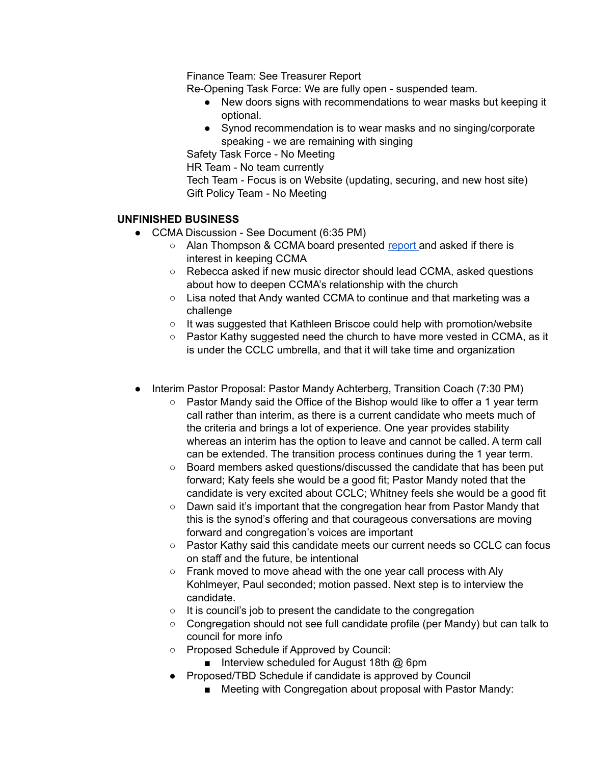Finance Team: See Treasurer Report

Re-Opening Task Force: We are fully open - suspended team.

- New doors signs with recommendations to wear masks but keeping it optional.
- Synod recommendation is to wear masks and no singing/corporate speaking - we are remaining with singing

Safety Task Force - No Meeting

HR Team - No team currently

Tech Team - Focus is on Website (updating, securing, and new host site) Gift Policy Team - No Meeting

# **UNFINISHED BUSINESS**

- CCMA Discussion See Document (6:35 PM)
	- Alan Thompson & CCMA board presented [report](https://docs.google.com/document/d/17MGtLACpvYmdLpsEiEv2CCOMkQKo_6l8/edit) and asked if there is interest in keeping CCMA
	- Rebecca asked if new music director should lead CCMA, asked questions about how to deepen CCMA's relationship with the church
	- Lisa noted that Andy wanted CCMA to continue and that marketing was a challenge
	- It was suggested that Kathleen Briscoe could help with promotion/website
	- $\circ$  Pastor Kathy suggested need the church to have more vested in CCMA, as it is under the CCLC umbrella, and that it will take time and organization
- Interim Pastor Proposal: Pastor Mandy Achterberg, Transition Coach (7:30 PM)
	- $\circ$  Pastor Mandy said the Office of the Bishop would like to offer a 1 year term call rather than interim, as there is a current candidate who meets much of the criteria and brings a lot of experience. One year provides stability whereas an interim has the option to leave and cannot be called. A term call can be extended. The transition process continues during the 1 year term.
	- Board members asked questions/discussed the candidate that has been put forward; Katy feels she would be a good fit; Pastor Mandy noted that the candidate is very excited about CCLC; Whitney feels she would be a good fit
	- Dawn said it's important that the congregation hear from Pastor Mandy that this is the synod's offering and that courageous conversations are moving forward and congregation's voices are important
	- Pastor Kathy said this candidate meets our current needs so CCLC can focus on staff and the future, be intentional
	- Frank moved to move ahead with the one year call process with Aly Kohlmeyer, Paul seconded; motion passed. Next step is to interview the candidate.
	- It is council's job to present the candidate to the congregation
	- Congregation should not see full candidate profile (per Mandy) but can talk to council for more info
	- Proposed Schedule if Approved by Council:
		- Interview scheduled for August 18th @ 6pm
	- Proposed/TBD Schedule if candidate is approved by Council
		- Meeting with Congregation about proposal with Pastor Mandy: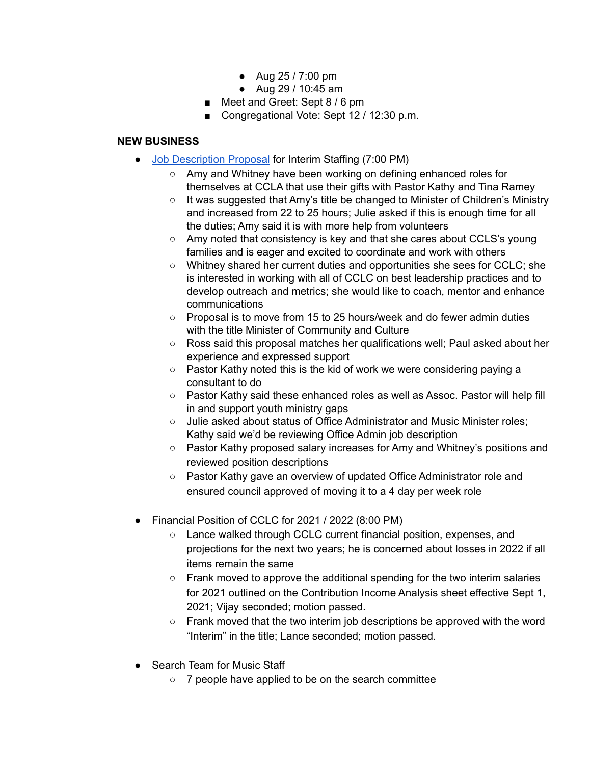- Aug 25 / 7:00 pm
- Aug 29 / 10:45 am
- Meet and Greet: Sept 8 / 6 pm
- Congregational Vote: Sept 12 / 12:30 p.m.

# **NEW BUSINESS**

- Job [Description](https://docs.google.com/presentation/d/1le7QVdlpRXRvOUVOx06HXu6Oc0rdOQUpeBqYsPRYI_c/edit) Proposal for Interim Staffing (7:00 PM)
	- Amy and Whitney have been working on defining enhanced roles for themselves at CCLA that use their gifts with Pastor Kathy and Tina Ramey
	- $\circ$  It was suggested that Amy's title be changed to Minister of Children's Ministry and increased from 22 to 25 hours; Julie asked if this is enough time for all the duties; Amy said it is with more help from volunteers
	- Amy noted that consistency is key and that she cares about CCLS's young families and is eager and excited to coordinate and work with others
	- Whitney shared her current duties and opportunities she sees for CCLC; she is interested in working with all of CCLC on best leadership practices and to develop outreach and metrics; she would like to coach, mentor and enhance communications
	- Proposal is to move from 15 to 25 hours/week and do fewer admin duties with the title Minister of Community and Culture
	- Ross said this proposal matches her qualifications well; Paul asked about her experience and expressed support
	- Pastor Kathy noted this is the kid of work we were considering paying a consultant to do
	- Pastor Kathy said these enhanced roles as well as Assoc. Pastor will help fill in and support youth ministry gaps
	- Julie asked about status of Office Administrator and Music Minister roles; Kathy said we'd be reviewing Office Admin job description
	- Pastor Kathy proposed salary increases for Amy and Whitney's positions and reviewed position descriptions
	- Pastor Kathy gave an overview of updated Office Administrator role and ensured council approved of moving it to a 4 day per week role
- Financial Position of CCLC for 2021 / 2022 (8:00 PM)
	- Lance walked through CCLC current financial position, expenses, and projections for the next two years; he is concerned about losses in 2022 if all items remain the same
	- Frank moved to approve the additional spending for the two interim salaries for 2021 outlined on the Contribution Income Analysis sheet effective Sept 1, 2021; Vijay seconded; motion passed.
	- Frank moved that the two interim job descriptions be approved with the word "Interim" in the title; Lance seconded; motion passed.
- Search Team for Music Staff
	- 7 people have applied to be on the search committee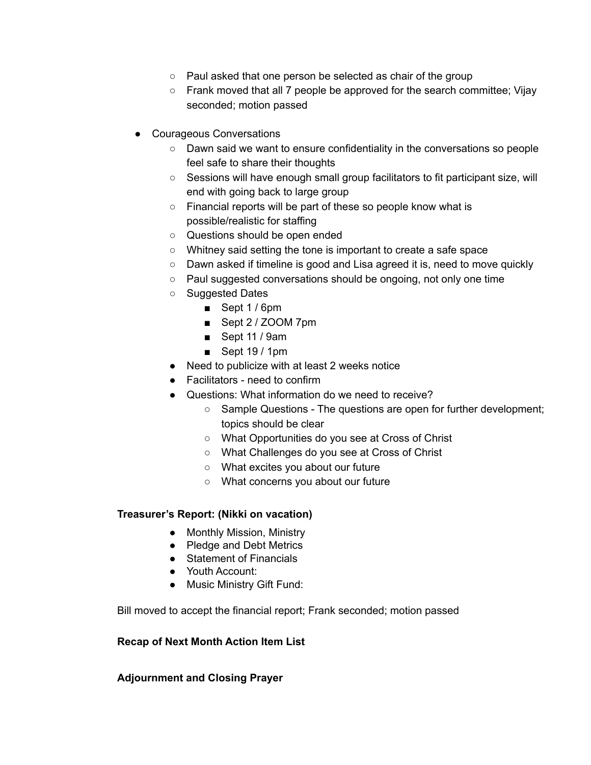- Paul asked that one person be selected as chair of the group
- Frank moved that all 7 people be approved for the search committee; Vijay seconded; motion passed
- Courageous Conversations
	- Dawn said we want to ensure confidentiality in the conversations so people feel safe to share their thoughts
	- Sessions will have enough small group facilitators to fit participant size, will end with going back to large group
	- Financial reports will be part of these so people know what is possible/realistic for staffing
	- Questions should be open ended
	- Whitney said setting the tone is important to create a safe space
	- Dawn asked if timeline is good and Lisa agreed it is, need to move quickly
	- Paul suggested conversations should be ongoing, not only one time
	- Suggested Dates
		- Sept 1 / 6pm
		- Sept 2 / ZOOM 7pm
		- Sept 11 / 9am
		- Sept 19 / 1pm
	- Need to publicize with at least 2 weeks notice
	- Facilitators need to confirm
	- Questions: What information do we need to receive?
		- Sample Questions The questions are open for further development; topics should be clear
		- What Opportunities do you see at Cross of Christ
		- What Challenges do you see at Cross of Christ
		- What excites you about our future
		- What concerns you about our future

## **Treasurer's Report: (Nikki on vacation)**

- Monthly Mission, Ministry
- Pledge and Debt Metrics
- Statement of Financials
- Youth Account:
- Music Ministry Gift Fund:

Bill moved to accept the financial report; Frank seconded; motion passed

## **Recap of Next Month Action Item List**

## **Adjournment and Closing Prayer**